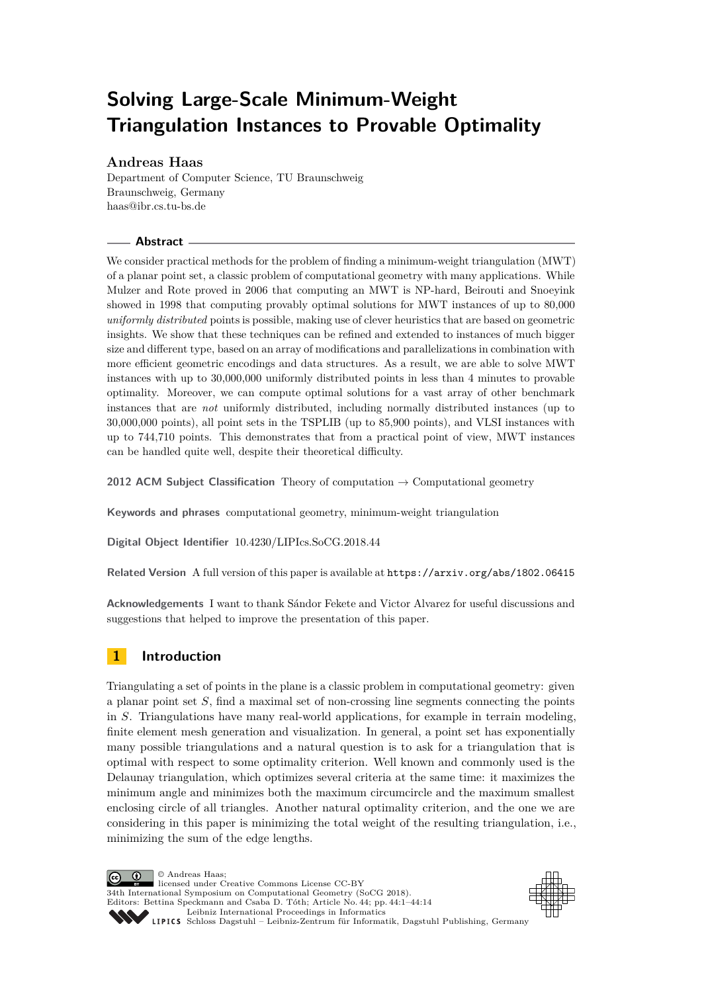# **Solving Large-Scale Minimum-Weight Triangulation Instances to Provable Optimality**

# **Andreas Haas**

Department of Computer Science, TU Braunschweig Braunschweig, Germany [haas@ibr.cs.tu-bs.de](mailto:haas@ibr.cs.tu-bs.de)

# **Abstract**

We consider practical methods for the problem of finding a minimum-weight triangulation (MWT) of a planar point set, a classic problem of computational geometry with many applications. While Mulzer and Rote proved in 2006 that computing an MWT is NP-hard, Beirouti and Snoeyink showed in 1998 that computing provably optimal solutions for MWT instances of up to 80,000 *uniformly distributed* points is possible, making use of clever heuristics that are based on geometric insights. We show that these techniques can be refined and extended to instances of much bigger size and different type, based on an array of modifications and parallelizations in combination with more efficient geometric encodings and data structures. As a result, we are able to solve MWT instances with up to 30,000,000 uniformly distributed points in less than 4 minutes to provable optimality. Moreover, we can compute optimal solutions for a vast array of other benchmark instances that are *not* uniformly distributed, including normally distributed instances (up to 30,000,000 points), all point sets in the TSPLIB (up to 85,900 points), and VLSI instances with up to 744,710 points. This demonstrates that from a practical point of view, MWT instances can be handled quite well, despite their theoretical difficulty.

**2012 ACM Subject Classification** Theory of computation → Computational geometry

**Keywords and phrases** computational geometry, minimum-weight triangulation

**Digital Object Identifier** [10.4230/LIPIcs.SoCG.2018.44](http://dx.doi.org/10.4230/LIPIcs.SoCG.2018.44)

**Related Version** A full version of this paper is available at <https://arxiv.org/abs/1802.06415>

**Acknowledgements** I want to thank Sándor Fekete and Victor Alvarez for useful discussions and suggestions that helped to improve the presentation of this paper.

# **1 Introduction**

Triangulating a set of points in the plane is a classic problem in computational geometry: given a planar point set *S*, find a maximal set of non-crossing line segments connecting the points in *S*. Triangulations have many real-world applications, for example in terrain modeling, finite element mesh generation and visualization. In general, a point set has exponentially many possible triangulations and a natural question is to ask for a triangulation that is optimal with respect to some optimality criterion. Well known and commonly used is the Delaunay triangulation, which optimizes several criteria at the same time: it maximizes the minimum angle and minimizes both the maximum circumcircle and the maximum smallest enclosing circle of all triangles. Another natural optimality criterion, and the one we are considering in this paper is minimizing the total weight of the resulting triangulation, i.e., minimizing the sum of the edge lengths.

© Andreas Haas;  $\boxed{6}$   $\boxed{0}$ licensed under Creative Commons License CC-BY 34th International Symposium on Computational Geometry (SoCG 2018). Editors: Bettina Speckmann and Csaba D. Tóth; Article No. 44; pp. 44:1–44[:14](#page-13-0) [Leibniz International Proceedings in Informatics](http://www.dagstuhl.de/lipics/) [Schloss Dagstuhl – Leibniz-Zentrum für Informatik, Dagstuhl Publishing, Germany](http://www.dagstuhl.de)

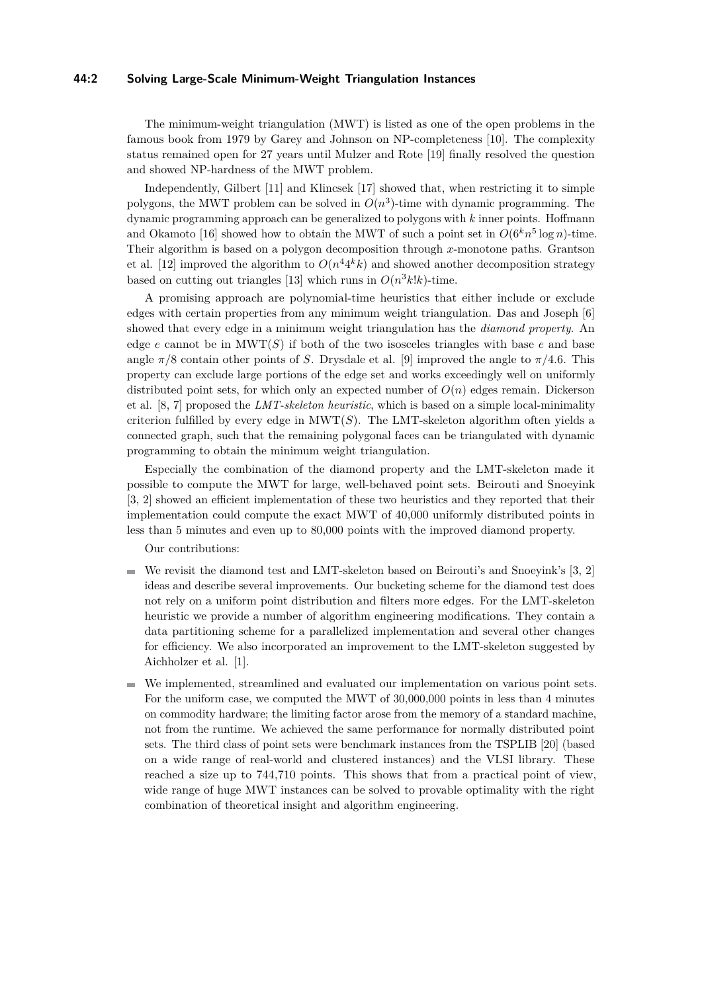#### **44:2 Solving Large-Scale Minimum-Weight Triangulation Instances**

The minimum-weight triangulation (MWT) is listed as one of the open problems in the famous book from 1979 by Garey and Johnson on NP-completeness [\[10\]](#page-12-0). The complexity status remained open for 27 years until Mulzer and Rote [\[19\]](#page-13-1) finally resolved the question and showed NP-hardness of the MWT problem.

Independently, Gilbert [\[11\]](#page-13-2) and Klincsek [\[17\]](#page-13-3) showed that, when restricting it to simple polygons, the MWT problem can be solved in  $O(n^3)$ -time with dynamic programming. The dynamic programming approach can be generalized to polygons with *k* inner points. Hoffmann and Okamoto [\[16\]](#page-13-4) showed how to obtain the MWT of such a point set in  $O(6^k n^5 \log n)$ -time. Their algorithm is based on a polygon decomposition through *x*-monotone paths. Grantson et al. [\[12\]](#page-13-5) improved the algorithm to  $O(n^4 4^k k)$  and showed another decomposition strategy based on cutting out triangles [\[13\]](#page-13-6) which runs in  $O(n^3k!k)$ -time.

A promising approach are polynomial-time heuristics that either include or exclude edges with certain properties from any minimum weight triangulation. Das and Joseph [\[6\]](#page-12-1) showed that every edge in a minimum weight triangulation has the *diamond property*. An edge *e* cannot be in  $MWT(S)$  if both of the two isosceles triangles with base *e* and base angle  $\pi/8$  contain other points of *S*. Drysdale et al. [\[9\]](#page-12-2) improved the angle to  $\pi/4.6$ . This property can exclude large portions of the edge set and works exceedingly well on uniformly distributed point sets, for which only an expected number of  $O(n)$  edges remain. Dickerson et al. [\[8,](#page-12-3) [7\]](#page-12-4) proposed the *LMT-skeleton heuristic*, which is based on a simple local-minimality criterion fulfilled by every edge in MWT(*S*). The LMT-skeleton algorithm often yields a connected graph, such that the remaining polygonal faces can be triangulated with dynamic programming to obtain the minimum weight triangulation.

Especially the combination of the diamond property and the LMT-skeleton made it possible to compute the MWT for large, well-behaved point sets. Beirouti and Snoeyink [\[3,](#page-12-5) [2\]](#page-12-6) showed an efficient implementation of these two heuristics and they reported that their implementation could compute the exact MWT of 40,000 uniformly distributed points in less than 5 minutes and even up to 80,000 points with the improved diamond property.

Our contributions:

- $\blacksquare$ We revisit the diamond test and LMT-skeleton based on Beirouti's and Snoeyink's [\[3,](#page-12-5) [2\]](#page-12-6) ideas and describe several improvements. Our bucketing scheme for the diamond test does not rely on a uniform point distribution and filters more edges. For the LMT-skeleton heuristic we provide a number of algorithm engineering modifications. They contain a data partitioning scheme for a parallelized implementation and several other changes for efficiency. We also incorporated an improvement to the LMT-skeleton suggested by Aichholzer et al. [\[1\]](#page-12-7).
- We implemented, streamlined and evaluated our implementation on various point sets. For the uniform case, we computed the MWT of 30,000,000 points in less than 4 minutes on commodity hardware; the limiting factor arose from the memory of a standard machine, not from the runtime. We achieved the same performance for normally distributed point sets. The third class of point sets were benchmark instances from the TSPLIB [\[20\]](#page-13-7) (based on a wide range of real-world and clustered instances) and the VLSI library. These reached a size up to 744,710 points. This shows that from a practical point of view, wide range of huge MWT instances can be solved to provable optimality with the right combination of theoretical insight and algorithm engineering.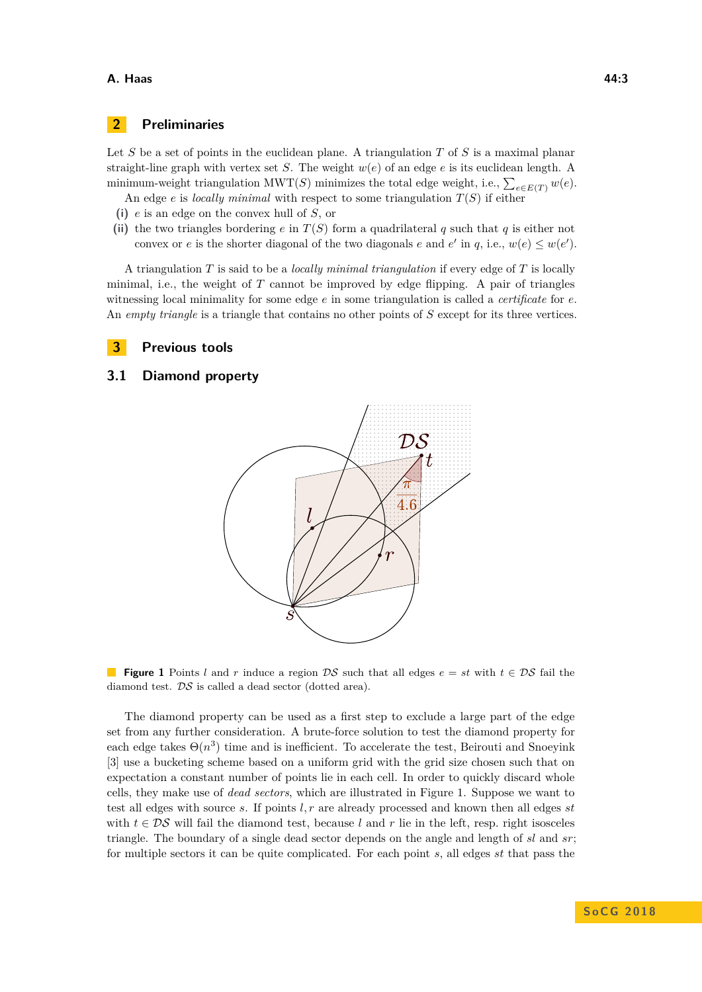# **2 Preliminaries**

Let *S* be a set of points in the euclidean plane. A triangulation *T* of *S* is a maximal planar straight-line graph with vertex set *S*. The weight  $w(e)$  of an edge *e* is its euclidean length. A minimum-weight triangulation  $MWT(S)$  minimizes the total edge weight, i.e.,  $\sum_{e \in E(T)} w(e)$ .

- An edge  $e$  is *locally minimal* with respect to some triangulation  $T(S)$  if either
- **(i)** *e* is an edge on the convex hull of *S*, or
- (ii) the two triangles bordering  $e$  in  $T(S)$  form a quadrilateral  $q$  such that  $q$  is either not convex or *e* is the shorter diagonal of the two diagonals *e* and *e'* in *q*, i.e.,  $w(e) \leq w(e')$ .

A triangulation *T* is said to be a *locally minimal triangulation* if every edge of *T* is locally minimal, i.e., the weight of *T* cannot be improved by edge flipping. A pair of triangles witnessing local minimality for some edge *e* in some triangulation is called a *certificate* for *e*. An *empty triangle* is a triangle that contains no other points of *S* except for its three vertices.

# <span id="page-2-1"></span>**3 Previous tools**

# <span id="page-2-0"></span>**3.1 Diamond property**



**Figure 1** Points *l* and *r* induce a region DS such that all edges *e* = *st* with *t* ∈ DS fail the diamond test. DS is called a dead sector (dotted area).

The diamond property can be used as a first step to exclude a large part of the edge set from any further consideration. A brute-force solution to test the diamond property for each edge takes  $\Theta(n^3)$  time and is inefficient. To accelerate the test, Beirouti and Snoeyink [\[3\]](#page-12-5) use a bucketing scheme based on a uniform grid with the grid size chosen such that on expectation a constant number of points lie in each cell. In order to quickly discard whole cells, they make use of *dead sectors*, which are illustrated in Figure [1.](#page-2-0) Suppose we want to test all edges with source *s*. If points *l, r* are already processed and known then all edges *st* with  $t \in \mathcal{DS}$  will fail the diamond test, because *l* and *r* lie in the left, resp. right isosceles triangle. The boundary of a single dead sector depends on the angle and length of *sl* and *sr*; for multiple sectors it can be quite complicated. For each point *s*, all edges *st* that pass the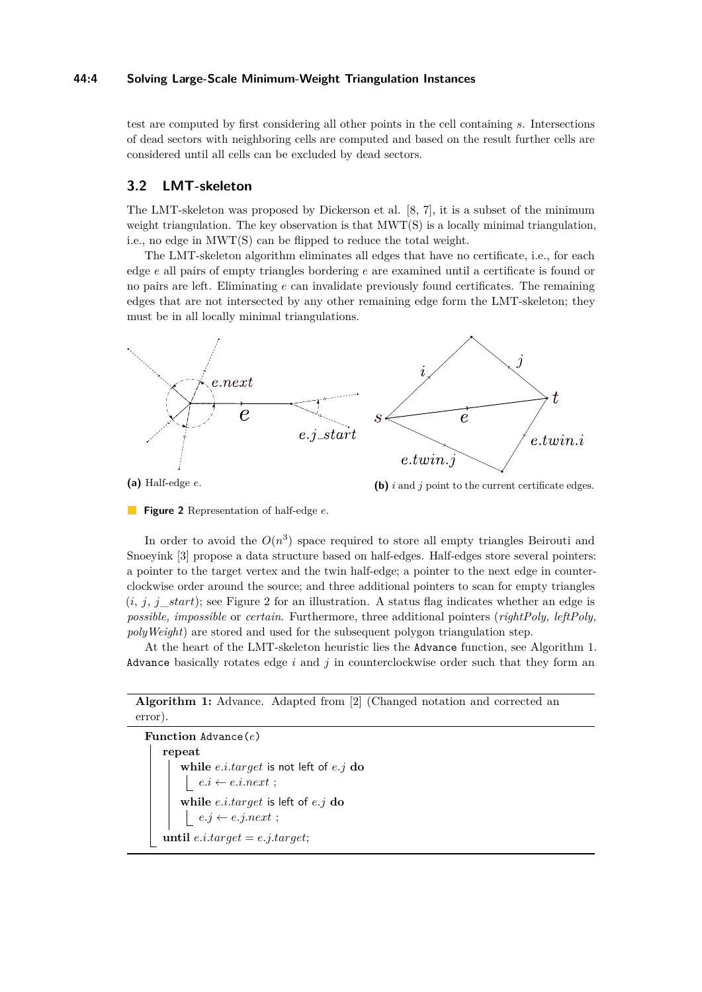#### **44:4 Solving Large-Scale Minimum-Weight Triangulation Instances**

test are computed by first considering all other points in the cell containing *s*. Intersections of dead sectors with neighboring cells are computed and based on the result further cells are considered until all cells can be excluded by dead sectors.

# **3.2 LMT-skeleton**

The LMT-skeleton was proposed by Dickerson et al. [\[8,](#page-12-3) [7\]](#page-12-4), it is a subset of the minimum weight triangulation. The key observation is that  $MWT(S)$  is a locally minimal triangulation, i.e., no edge in MWT(S) can be flipped to reduce the total weight.

The LMT-skeleton algorithm eliminates all edges that have no certificate, i.e., for each edge *e* all pairs of empty triangles bordering *e* are examined until a certificate is found or no pairs are left. Eliminating *e* can invalidate previously found certificates. The remaining edges that are not intersected by any other remaining edge form the LMT-skeleton; they must be in all locally minimal triangulations.

<span id="page-3-0"></span>

**(a)** Half-edge *e*. **(b)** *i* and *j* point to the current certificate edges.

**Figure 2** Representation of half-edge *e*.

In order to avoid the  $O(n^3)$  space required to store all empty triangles Beirouti and Snoeyink [\[3\]](#page-12-5) propose a data structure based on half-edges. Half-edges store several pointers: a pointer to the target vertex and the twin half-edge; a pointer to the next edge in counterclockwise order around the source; and three additional pointers to scan for empty triangles  $(i, j, j, start)$ ; see Figure [2](#page-3-0) for an illustration. A status flag indicates whether an edge is *possible, impossible* or *certain*. Furthermore, three additional pointers (*rightPoly, leftPoly, polyWeight*) are stored and used for the subsequent polygon triangulation step.

At the heart of the LMT-skeleton heuristic lies the Advance function, see Algorithm [1.](#page-3-1) Advance basically rotates edge *i* and *j* in counterclockwise order such that they form an

**Algorithm 1:** Advance. Adapted from [\[2\]](#page-12-6) (Changed notation and corrected an error).

<span id="page-3-1"></span>**Function** Advance(*e*) **repeat while** *e.i.target* is not left of *e.j* **do**  $e.i \leftarrow e.inext;$ **while** *e.i.target* is left of *e.j* **do**  $e.j \leftarrow e.j.next ;$ **until** *e.i.target* = *e.j.target*;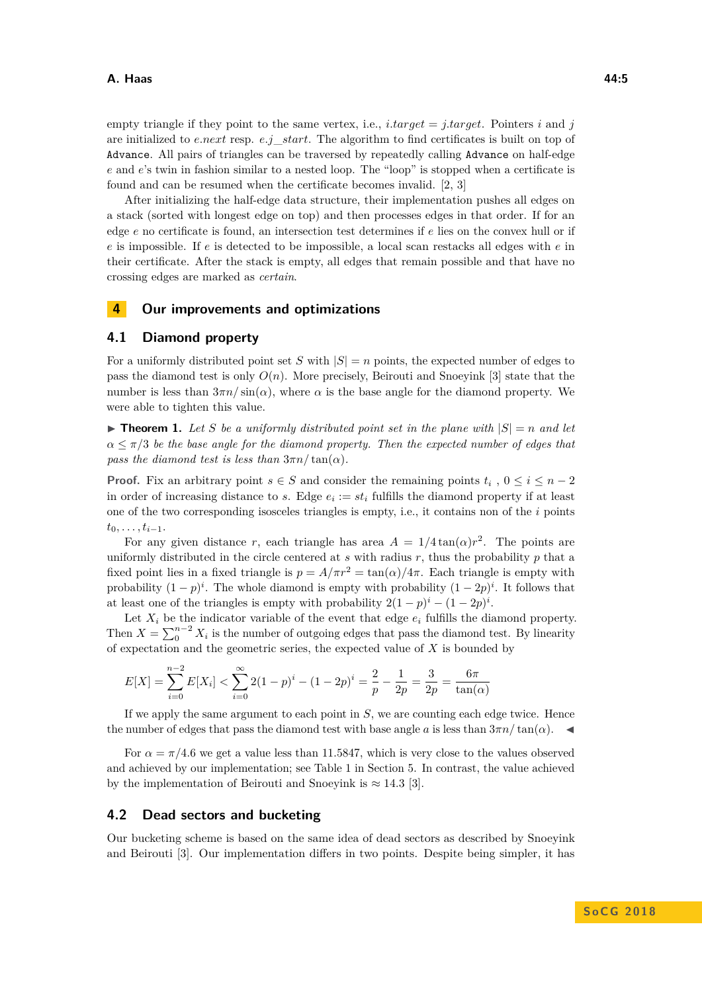empty triangle if they point to the same vertex, i.e., *i.target* = *j.target*. Pointers *i* and *j* are initialized to *e.next* resp. *e.j*\_*start*. The algorithm to find certificates is built on top of Advance. All pairs of triangles can be traversed by repeatedly calling Advance on half-edge *e* and *e*'s twin in fashion similar to a nested loop. The "loop" is stopped when a certificate is found and can be resumed when the certificate becomes invalid. [\[2,](#page-12-6) [3\]](#page-12-5)

After initializing the half-edge data structure, their implementation pushes all edges on a stack (sorted with longest edge on top) and then processes edges in that order. If for an edge *e* no certificate is found, an intersection test determines if *e* lies on the convex hull or if *e* is impossible. If *e* is detected to be impossible, a local scan restacks all edges with *e* in their certificate. After the stack is empty, all edges that remain possible and that have no crossing edges are marked as *certain*.

# **4 Our improvements and optimizations**

### **4.1 Diamond property**

For a uniformly distributed point set *S* with  $|S| = n$  points, the expected number of edges to pass the diamond test is only  $O(n)$ . More precisely, Beirouti and Snoeyink [\[3\]](#page-12-5) state that the number is less than  $3\pi n/\sin(\alpha)$ , where  $\alpha$  is the base angle for the diamond property. We were able to tighten this value.

 $\triangleright$  **Theorem 1.** Let *S* be a uniformly distributed point set in the plane with  $|S| = n$  and let  $\alpha \leq \pi/3$  *be the base angle for the diamond property. Then the expected number of edges that pass the diamond test is less than*  $3\pi n/\tan(\alpha)$ *.* 

**Proof.** Fix an arbitrary point  $s \in S$  and consider the remaining points  $t_i$ ,  $0 \le i \le n-2$ in order of increasing distance to *s*. Edge  $e_i := st_i$  fulfills the diamond property if at least one of the two corresponding isosceles triangles is empty, i.e., it contains non of the *i* points  $t_0, \ldots, t_{i-1}.$ 

For any given distance *r*, each triangle has area  $A = 1/4 \tan(\alpha) r^2$ . The points are uniformly distributed in the circle centered at *s* with radius *r*, thus the probability *p* that a fixed point lies in a fixed triangle is  $p = A/\pi r^2 = \tan(\alpha)/4\pi$ . Each triangle is empty with probability  $(1-p)^i$ . The whole diamond is empty with probability  $(1-2p)^i$ . It follows that at least one of the triangles is empty with probability  $2(1-p)^i - (1-2p)^i$ .

Let  $X_i$  be the indicator variable of the event that edge  $e_i$  fulfills the diamond property. Then  $X = \sum_{0}^{n-2} X_i$  is the number of outgoing edges that pass the diamond test. By linearity of expectation and the geometric series, the expected value of *X* is bounded by

$$
E[X] = \sum_{i=0}^{n-2} E[X_i] < \sum_{i=0}^{\infty} 2(1-p)^i - (1-2p)^i = \frac{2}{p} - \frac{1}{2p} = \frac{3}{2p} = \frac{6\pi}{\tan(\alpha)}
$$

If we apply the same argument to each point in *S*, we are counting each edge twice. Hence the number of edges that pass the diamond test with base angle *a* is less than  $3\pi n/\tan(\alpha)$ .

For  $\alpha = \pi/4.6$  we get a value less than 11.5847, which is very close to the values observed and achieved by our implementation; see Table [1](#page-10-0) in Section [5.](#page-9-0) In contrast, the value achieved by the implementation of Beirouti and Snoevink is  $\approx 14.3$  [\[3\]](#page-12-5).

## **4.2 Dead sectors and bucketing**

Our bucketing scheme is based on the same idea of dead sectors as described by Snoeyink and Beirouti [\[3\]](#page-12-5). Our implementation differs in two points. Despite being simpler, it has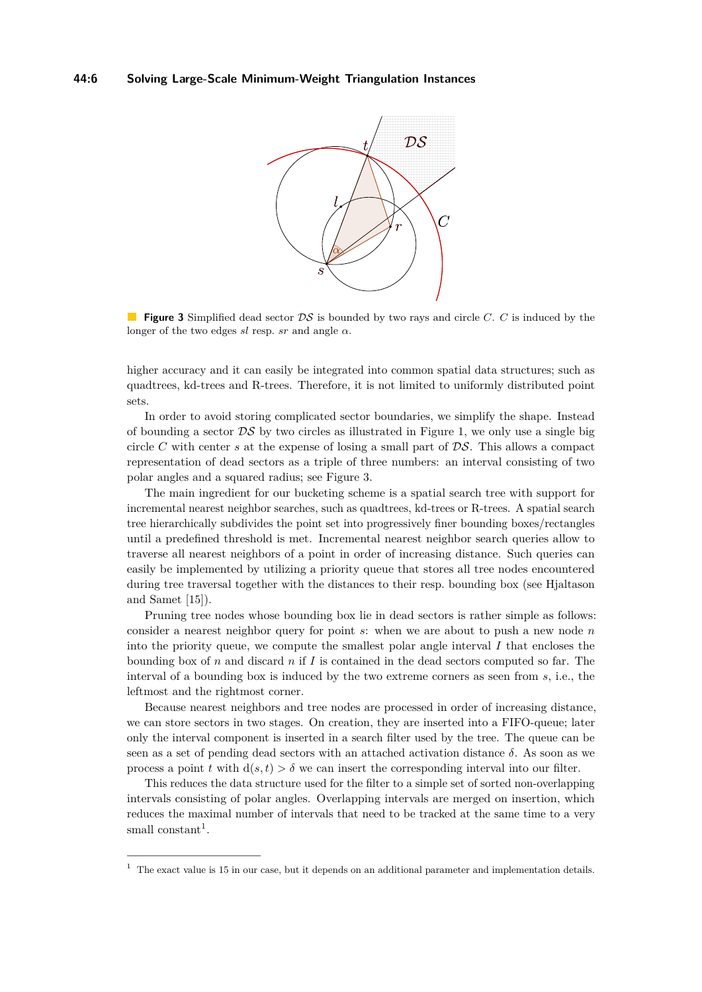#### <span id="page-5-0"></span>**44:6 Solving Large-Scale Minimum-Weight Triangulation Instances**



**Figure 3** Simplified dead sector DS is bounded by two rays and circle *C*. *C* is induced by the longer of the two edges  $sl$  resp.  $sr$  and angle  $\alpha$ .

higher accuracy and it can easily be integrated into common spatial data structures; such as quadtrees, kd-trees and R-trees. Therefore, it is not limited to uniformly distributed point sets.

In order to avoid storing complicated sector boundaries, we simplify the shape. Instead of bounding a sector  $DS$  by two circles as illustrated in Figure [1,](#page-2-0) we only use a single big circle C with center  $s$  at the expense of losing a small part of  $DS$ . This allows a compact representation of dead sectors as a triple of three numbers: an interval consisting of two polar angles and a squared radius; see Figure [3.](#page-5-0)

The main ingredient for our bucketing scheme is a spatial search tree with support for incremental nearest neighbor searches, such as quadtrees, kd-trees or R-trees. A spatial search tree hierarchically subdivides the point set into progressively finer bounding boxes/rectangles until a predefined threshold is met. Incremental nearest neighbor search queries allow to traverse all nearest neighbors of a point in order of increasing distance. Such queries can easily be implemented by utilizing a priority queue that stores all tree nodes encountered during tree traversal together with the distances to their resp. bounding box (see Hjaltason and Samet [\[15\]](#page-13-8)).

Pruning tree nodes whose bounding box lie in dead sectors is rather simple as follows: consider a nearest neighbor query for point *s*: when we are about to push a new node *n* into the priority queue, we compute the smallest polar angle interval *I* that encloses the bounding box of *n* and discard *n* if *I* is contained in the dead sectors computed so far. The interval of a bounding box is induced by the two extreme corners as seen from *s*, i.e., the leftmost and the rightmost corner.

Because nearest neighbors and tree nodes are processed in order of increasing distance, we can store sectors in two stages. On creation, they are inserted into a FIFO-queue; later only the interval component is inserted in a search filter used by the tree. The queue can be seen as a set of pending dead sectors with an attached activation distance *δ*. As soon as we process a point *t* with  $d(s, t) > \delta$  we can insert the corresponding interval into our filter.

This reduces the data structure used for the filter to a simple set of sorted non-overlapping intervals consisting of polar angles. Overlapping intervals are merged on insertion, which reduces the maximal number of intervals that need to be tracked at the same time to a very small constant<sup>[1](#page-5-1)</sup>.

<span id="page-5-1"></span> $1$  The exact value is 15 in our case, but it depends on an additional parameter and implementation details.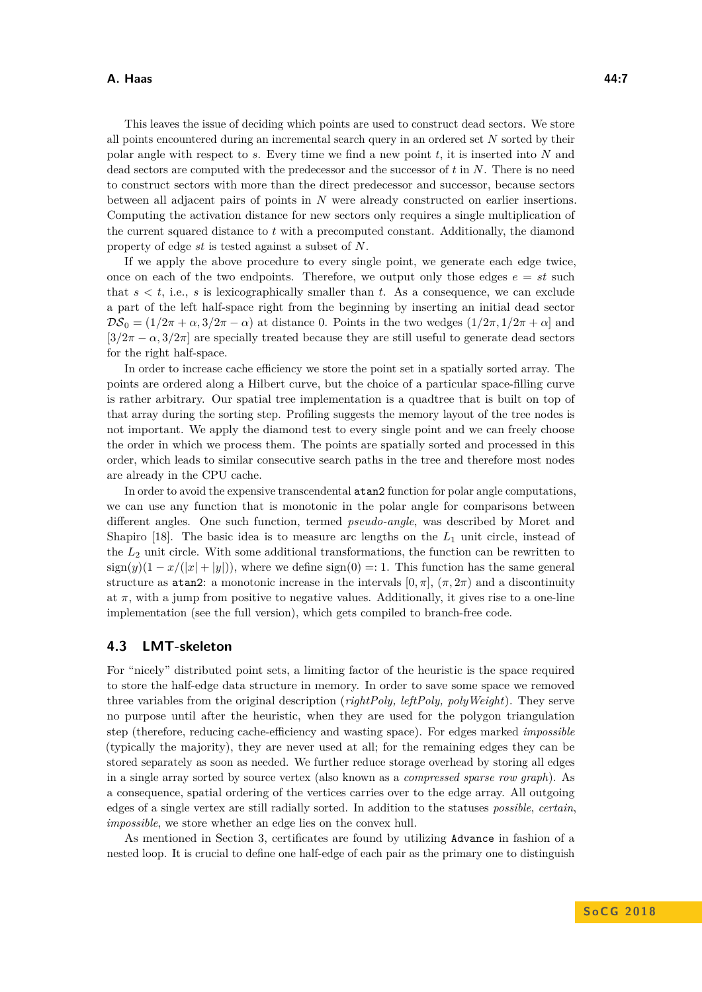This leaves the issue of deciding which points are used to construct dead sectors. We store all points encountered during an incremental search query in an ordered set *N* sorted by their polar angle with respect to *s*. Every time we find a new point *t*, it is inserted into *N* and dead sectors are computed with the predecessor and the successor of *t* in *N*. There is no need to construct sectors with more than the direct predecessor and successor, because sectors between all adjacent pairs of points in *N* were already constructed on earlier insertions. Computing the activation distance for new sectors only requires a single multiplication of the current squared distance to *t* with a precomputed constant. Additionally, the diamond property of edge *st* is tested against a subset of *N*.

If we apply the above procedure to every single point, we generate each edge twice, once on each of the two endpoints. Therefore, we output only those edges  $e = st$  such that  $s < t$ , i.e., *s* is lexicographically smaller than  $t$ . As a consequence, we can exclude a part of the left half-space right from the beginning by inserting an initial dead sector  $\mathcal{DS}_0 = (1/2\pi + \alpha, 3/2\pi - \alpha)$  at distance 0. Points in the two wedges  $(1/2\pi, 1/2\pi + \alpha]$  and  $[3/2\pi - \alpha, 3/2\pi]$  are specially treated because they are still useful to generate dead sectors for the right half-space.

In order to increase cache efficiency we store the point set in a spatially sorted array. The points are ordered along a Hilbert curve, but the choice of a particular space-filling curve is rather arbitrary. Our spatial tree implementation is a quadtree that is built on top of that array during the sorting step. Profiling suggests the memory layout of the tree nodes is not important. We apply the diamond test to every single point and we can freely choose the order in which we process them. The points are spatially sorted and processed in this order, which leads to similar consecutive search paths in the tree and therefore most nodes are already in the CPU cache.

In order to avoid the expensive transcendental atan2 function for polar angle computations, we can use any function that is monotonic in the polar angle for comparisons between different angles. One such function, termed *pseudo-angle*, was described by Moret and Shapiro [\[18\]](#page-13-9). The basic idea is to measure arc lengths on the  $L_1$  unit circle, instead of the *L*<sup>2</sup> unit circle. With some additional transformations, the function can be rewritten to  $sign(y)(1 - x/(|x| + |y|))$ , where we define  $sign(0) = 1$ . This function has the same general structure as atan2: a monotonic increase in the intervals  $[0, \pi]$ ,  $(\pi, 2\pi)$  and a discontinuity at  $\pi$ , with a jump from positive to negative values. Additionally, it gives rise to a one-line implementation (see the full version), which gets compiled to branch-free code.

# **4.3 LMT-skeleton**

For "nicely" distributed point sets, a limiting factor of the heuristic is the space required to store the half-edge data structure in memory. In order to save some space we removed three variables from the original description (*rightPoly, leftPoly, polyWeight*). They serve no purpose until after the heuristic, when they are used for the polygon triangulation step (therefore, reducing cache-efficiency and wasting space). For edges marked *impossible* (typically the majority), they are never used at all; for the remaining edges they can be stored separately as soon as needed. We further reduce storage overhead by storing all edges in a single array sorted by source vertex (also known as a *compressed sparse row graph*). As a consequence, spatial ordering of the vertices carries over to the edge array. All outgoing edges of a single vertex are still radially sorted. In addition to the statuses *possible*, *certain*, *impossible*, we store whether an edge lies on the convex hull.

As mentioned in Section [3,](#page-2-1) certificates are found by utilizing Advance in fashion of a nested loop. It is crucial to define one half-edge of each pair as the primary one to distinguish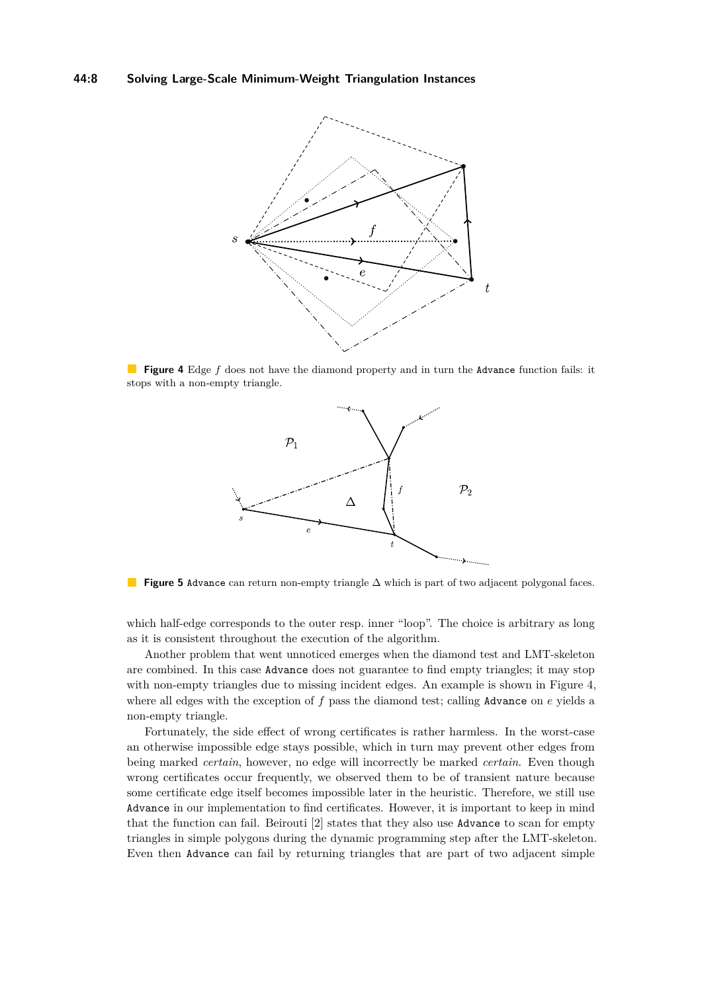<span id="page-7-0"></span>

<span id="page-7-1"></span>**Figure 4** Edge *f* does not have the diamond property and in turn the Advance function fails: it stops with a non-empty triangle.



 $\mathcal{L}^{\mathcal{L}}$ **Figure 5** Advance can return non-empty triangle ∆ which is part of two adjacent polygonal faces.

which half-edge corresponds to the outer resp. inner "loop". The choice is arbitrary as long as it is consistent throughout the execution of the algorithm.

Another problem that went unnoticed emerges when the diamond test and LMT-skeleton are combined. In this case Advance does not guarantee to find empty triangles; it may stop with non-empty triangles due to missing incident edges. An example is shown in Figure [4,](#page-7-0) where all edges with the exception of *f* pass the diamond test; calling Advance on *e* yields a non-empty triangle.

Fortunately, the side effect of wrong certificates is rather harmless. In the worst-case an otherwise impossible edge stays possible, which in turn may prevent other edges from being marked *certain*, however, no edge will incorrectly be marked *certain*. Even though wrong certificates occur frequently, we observed them to be of transient nature because some certificate edge itself becomes impossible later in the heuristic. Therefore, we still use Advance in our implementation to find certificates. However, it is important to keep in mind that the function can fail. Beirouti [\[2\]](#page-12-6) states that they also use Advance to scan for empty triangles in simple polygons during the dynamic programming step after the LMT-skeleton. Even then Advance can fail by returning triangles that are part of two adjacent simple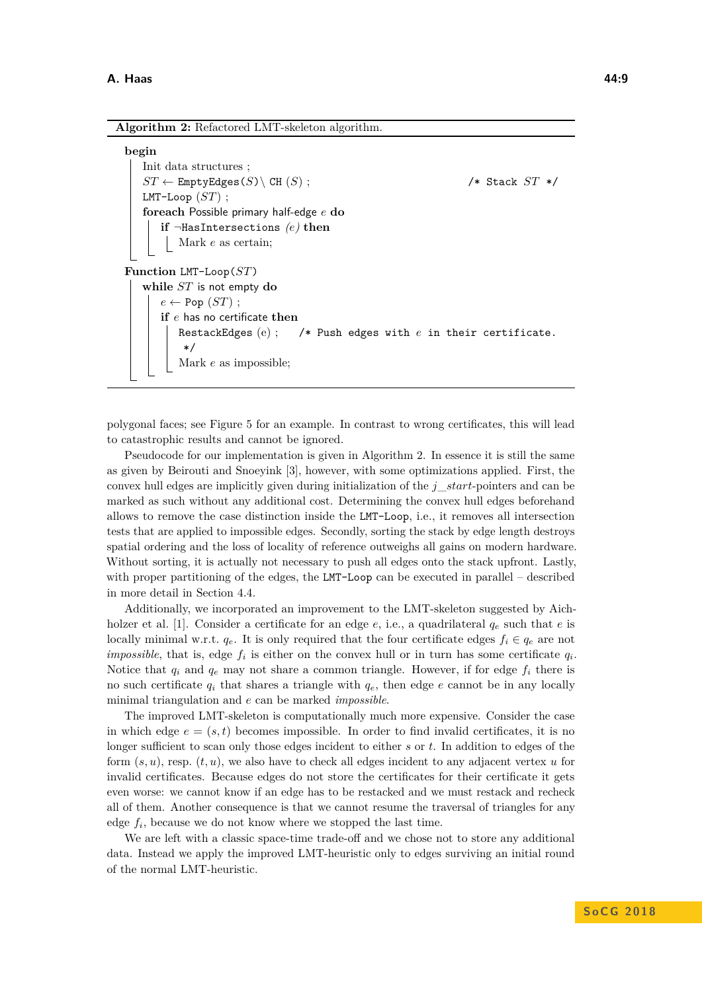**Algorithm 2:** Refactored LMT-skeleton algorithm.

#### **begin**

Init data structures ;  $ST \leftarrow$  EmptyEdges(*S*)\ CH(*S*); /\* Stack *ST* \*/ LMT-Loop (*ST*) ; **foreach** Possible primary half-edge *e* **do if** ¬HasIntersections *(e)* **then** Mark *e* as certain; **Function** LMT-Loop(*ST*) **while** *ST* is not empty **do**  $e \leftarrow$  Pop  $(ST)$ ; **if** *e* has no certificate **then** RestackEdges (e) ; /\* Push edges with *e* in their certificate. \*/ Mark *e* as impossible;

<span id="page-8-0"></span>polygonal faces; see Figure [5](#page-7-1) for an example. In contrast to wrong certificates, this will lead to catastrophic results and cannot be ignored.

Pseudocode for our implementation is given in Algorithm [2.](#page-8-0) In essence it is still the same as given by Beirouti and Snoeyink [\[3\]](#page-12-5), however, with some optimizations applied. First, the convex hull edges are implicitly given during initialization of the *j*\_*start*-pointers and can be marked as such without any additional cost. Determining the convex hull edges beforehand allows to remove the case distinction inside the LMT-Loop, i.e., it removes all intersection tests that are applied to impossible edges. Secondly, sorting the stack by edge length destroys spatial ordering and the loss of locality of reference outweighs all gains on modern hardware. Without sorting, it is actually not necessary to push all edges onto the stack upfront. Lastly, with proper partitioning of the edges, the LMT-Loop can be executed in parallel – described in more detail in Section [4.4.](#page-9-1)

Additionally, we incorporated an improvement to the LMT-skeleton suggested by Aich-holzer et al. [\[1\]](#page-12-7). Consider a certificate for an edge  $e$ , i.e., a quadrilateral  $q_e$  such that  $e$  is locally minimal w.r.t.  $q_e$ . It is only required that the four certificate edges  $f_i \in q_e$  are not *impossible*, that is, edge  $f_i$  is either on the convex hull or in turn has some certificate  $q_i$ . Notice that  $q_i$  and  $q_e$  may not share a common triangle. However, if for edge  $f_i$  there is no such certificate  $q_i$  that shares a triangle with  $q_e$ , then edge  $e$  cannot be in any locally minimal triangulation and *e* can be marked *impossible*.

The improved LMT-skeleton is computationally much more expensive. Consider the case in which edge  $e = (s, t)$  becomes impossible. In order to find invalid certificates, it is no longer sufficient to scan only those edges incident to either *s* or *t*. In addition to edges of the form  $(s, u)$ , resp.  $(t, u)$ , we also have to check all edges incident to any adjacent vertex  $u$  for invalid certificates. Because edges do not store the certificates for their certificate it gets even worse: we cannot know if an edge has to be restacked and we must restack and recheck all of them. Another consequence is that we cannot resume the traversal of triangles for any edge *f<sup>i</sup>* , because we do not know where we stopped the last time.

We are left with a classic space-time trade-off and we chose not to store any additional data. Instead we apply the improved LMT-heuristic only to edges surviving an initial round of the normal LMT-heuristic.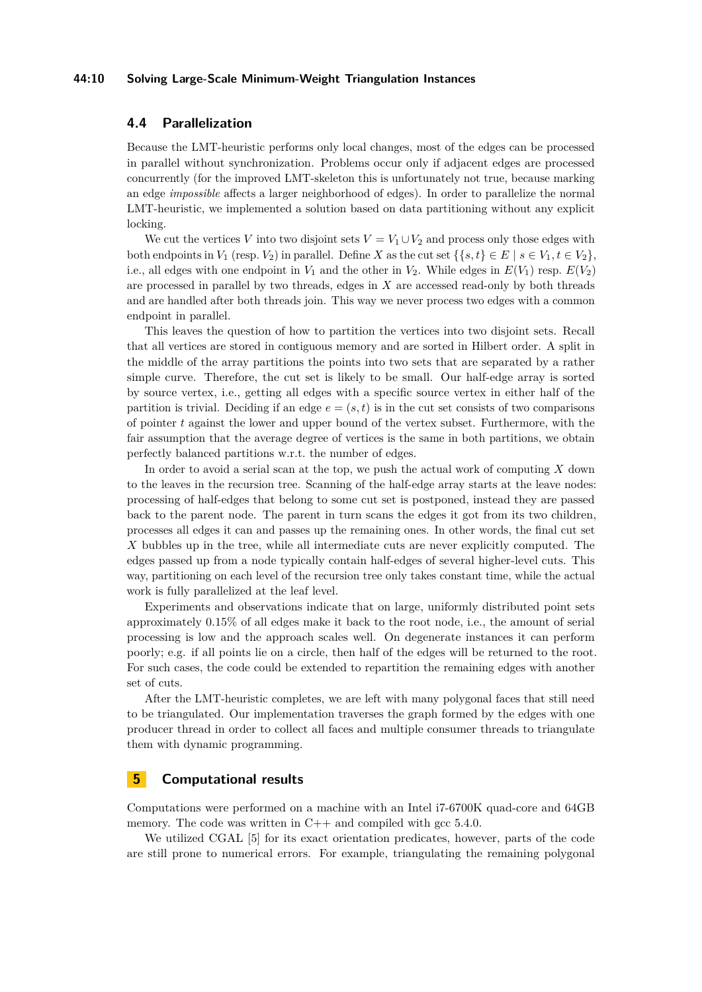#### **44:10 Solving Large-Scale Minimum-Weight Triangulation Instances**

# <span id="page-9-1"></span>**4.4 Parallelization**

Because the LMT-heuristic performs only local changes, most of the edges can be processed in parallel without synchronization. Problems occur only if adjacent edges are processed concurrently (for the improved LMT-skeleton this is unfortunately not true, because marking an edge *impossible* affects a larger neighborhood of edges). In order to parallelize the normal LMT-heuristic, we implemented a solution based on data partitioning without any explicit locking.

We cut the vertices *V* into two disjoint sets  $V = V_1 \cup V_2$  and process only those edges with both endpoints in  $V_1$  (resp.  $V_2$ ) in parallel. Define *X* as the cut set  $\{\{s,t\} \in E \mid s \in V_1, t \in V_2\}$ , i.e., all edges with one endpoint in  $V_1$  and the other in  $V_2$ . While edges in  $E(V_1)$  resp.  $E(V_2)$ are processed in parallel by two threads, edges in *X* are accessed read-only by both threads and are handled after both threads join. This way we never process two edges with a common endpoint in parallel.

This leaves the question of how to partition the vertices into two disjoint sets. Recall that all vertices are stored in contiguous memory and are sorted in Hilbert order. A split in the middle of the array partitions the points into two sets that are separated by a rather simple curve. Therefore, the cut set is likely to be small. Our half-edge array is sorted by source vertex, i.e., getting all edges with a specific source vertex in either half of the partition is trivial. Deciding if an edge  $e = (s, t)$  is in the cut set consists of two comparisons of pointer *t* against the lower and upper bound of the vertex subset. Furthermore, with the fair assumption that the average degree of vertices is the same in both partitions, we obtain perfectly balanced partitions w.r.t. the number of edges.

In order to avoid a serial scan at the top, we push the actual work of computing *X* down to the leaves in the recursion tree. Scanning of the half-edge array starts at the leave nodes: processing of half-edges that belong to some cut set is postponed, instead they are passed back to the parent node. The parent in turn scans the edges it got from its two children, processes all edges it can and passes up the remaining ones. In other words, the final cut set *X* bubbles up in the tree, while all intermediate cuts are never explicitly computed. The edges passed up from a node typically contain half-edges of several higher-level cuts. This way, partitioning on each level of the recursion tree only takes constant time, while the actual work is fully parallelized at the leaf level.

Experiments and observations indicate that on large, uniformly distributed point sets approximately 0.15% of all edges make it back to the root node, i.e., the amount of serial processing is low and the approach scales well. On degenerate instances it can perform poorly; e.g. if all points lie on a circle, then half of the edges will be returned to the root. For such cases, the code could be extended to repartition the remaining edges with another set of cuts.

After the LMT-heuristic completes, we are left with many polygonal faces that still need to be triangulated. Our implementation traverses the graph formed by the edges with one producer thread in order to collect all faces and multiple consumer threads to triangulate them with dynamic programming.

# <span id="page-9-0"></span>**5 Computational results**

Computations were performed on a machine with an Intel i7-6700K quad-core and 64GB memory. The code was written in  $C++$  and compiled with gcc 5.4.0.

We utilized CGAL [\[5\]](#page-12-8) for its exact orientation predicates, however, parts of the code are still prone to numerical errors. For example, triangulating the remaining polygonal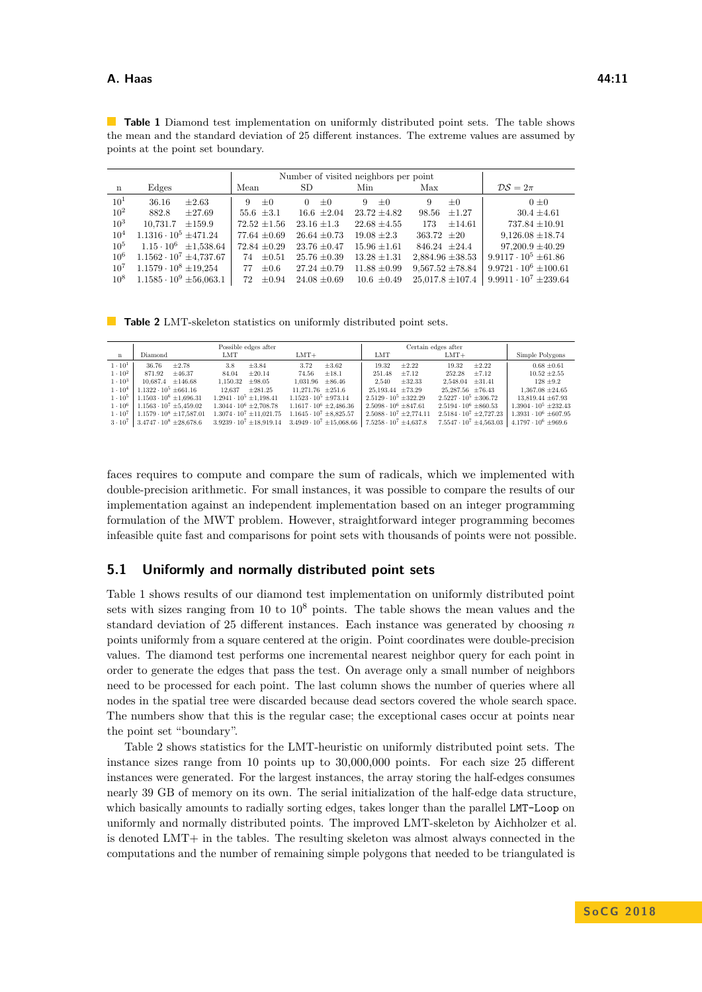<span id="page-10-0"></span>**Table 1** Diamond test implementation on uniformly distributed point sets. The table shows the mean and the standard deviation of 25 different instances. The extreme values are assumed by points at the point set boundary.

|                 |                                  |                                      | Number of visited neighbors per point |                  |                  |                      |                                |
|-----------------|----------------------------------|--------------------------------------|---------------------------------------|------------------|------------------|----------------------|--------------------------------|
| n               | Edges                            |                                      | Mean                                  | SD               | Min              | Max                  | $DS = 2\pi$                    |
| $10^{1}$        | 36.16                            | $\pm 2.63$                           | $+0$<br>9                             | $+0$<br>0        | $+0$<br>9        | $+0$<br>9            | $0 \pm 0$                      |
| $10^{2}$        | 882.8                            | $\pm 27.69$                          | $55.6 \pm 3.1$                        | $16.6 \pm 2.04$  | $23.72 \pm 4.82$ | $\pm 1.27$<br>98.56  | $30.4 \pm 4.61$                |
| $10^{3}$        | 10,731.7                         | $\pm 159.9$                          | $72.52 \pm 1.56$                      | $23.16 \pm 1.3$  | $22.68 \pm 4.55$ | $\pm 14.61$<br>173   | $737.84 \pm 10.91$             |
| 10 <sup>4</sup> | $1.1316 \cdot 10^5 \pm 471.24$   |                                      | $77.64 \pm 0.69$                      | $26.64 \pm 0.73$ | $19.08 \pm 2.3$  | $363.72 \pm 20$      | $9,126.08 \pm 18.74$           |
| $10^{5}$        |                                  | $1.15 \cdot 10^6 \quad \pm 1.538.64$ | $72.84 \pm 0.29$                      | $23.76 \pm 0.47$ | $15.96 \pm 1.61$ | $846.24 \pm 24.4$    | $97,200.9 \pm 40.29$           |
| $10^{6}$        |                                  | $1.1562 \cdot 10^7 \pm 4.737.67$     | $\pm 0.51$<br>74                      | $25.76 \pm 0.39$ | $13.28 \pm 1.31$ | $2,884.96 \pm 38.53$ | $9.9117 \cdot 10^5 \pm 61.86$  |
| $10^{7}$        | $1.1579 \cdot 10^8 \pm 19.254$   |                                      | $\pm 0.6$<br>77                       | $27.24 \pm 0.79$ | $11.88 \pm 0.99$ | $9.567.52 \pm 78.84$ | $9.9721 \cdot 10^6 \pm 100.61$ |
| $10^{8}$        | $1.1585 \cdot 10^9 \pm 56,063.1$ |                                      | 72<br>$\pm 0.94$                      | $24.08 \pm 0.69$ | $10.6 \pm 0.49$  | $25.017.8 \pm 107.4$ | $9.9911 \cdot 10^7 \pm 239.64$ |

<span id="page-10-1"></span>**Table 2** LMT-skeleton statistics on uniformly distributed point sets.

|                  |                                   | Possible edges after              |                                   | Certain edges after               |                                  |                                |
|------------------|-----------------------------------|-----------------------------------|-----------------------------------|-----------------------------------|----------------------------------|--------------------------------|
| n                | Diamond                           | LMT                               | $LMT+$                            | LMT                               | $LMT+$                           | Simple Polygons                |
| $1 \cdot 10^{1}$ | $+2.78$<br>36.76                  | $\pm 3.84$<br>3.8                 | 3.72<br>$\pm 3.62$                | $\pm 2.22$<br>19.32               | $\pm 2.22$<br>19.32              | $0.68 \pm 0.61$                |
| $1 \cdot 10^2$   | $\pm 46.37$<br>871.92             | $\pm 20.14$<br>84.04              | $\pm 18.1$<br>74.56               | $\pm 7.12$<br>251.48              | $\pm 7.12$<br>252.28             | $10.52 \pm 2.55$               |
| $1 \cdot 10^3$   | $10.687.4$ $\pm 146.68$           | 1.150.32<br>$\pm 98.05$           | $1.031.96 \quad \pm 86.46$        | $\pm 32.33$<br>2.540              | $2.548.04 \quad \pm 31.41$       | $128 \pm 9.2$                  |
| $1 \cdot 10^{4}$ | $1.1322 \cdot 10^5 \pm 661.16$    | $\pm 281.25$<br>12.637            | $11.271.76 \pm 251.6$             | $25.193.44 \pm 73.29$             | $25.287.56 \pm 76.43$            | $1.367.08 \pm 24.65$           |
| $1 \cdot 10^5$   | $1.1503 \cdot 10^6 \pm 1.696.31$  | $1.2941 \cdot 10^5 \pm 1.198.41$  | $1.1523 \cdot 10^5 \pm 973.14$    | $2.5129 \cdot 10^5 \pm 322.29$    | $2.5227 \cdot 10^5 \pm 306.72$   | $13.819.44 \pm 67.93$          |
| $1 \cdot 10^6$   | $1.1563 \cdot 10^7 \pm 5.459.02$  | $1.3044 \cdot 10^6 \pm 2.708.78$  | $1.1617 \cdot 10^6 \pm 2.486.36$  | $2.5098 \cdot 10^6$ $\pm 847.61$  | $2.5194 \cdot 10^6 \pm 860.53$   | $1.3904 \cdot 10^5 \pm 232.43$ |
| $1 \cdot 10^{7}$ | $1.1579 \cdot 10^8 \pm 17.587.01$ | $1.3074 \cdot 10^7 \pm 11.021.75$ | $1.1645 \cdot 10^7 \pm 8.825.57$  | $2.5088 \cdot 10^7 \pm 2.774.11$  | $2.5184 \cdot 10^7 \pm 2.727.23$ | $1.3931 \cdot 10^6 \pm 607.95$ |
| $3 \cdot 10^7$   | $3.4747 \cdot 10^8 \pm 28.678.6$  | $3.9239 \cdot 10^7 \pm 18.919.14$ | $3.4949 \cdot 10^7 \pm 15.068.66$ | $7.5258 \cdot 10^7$ $\pm 4.637.8$ | $7.5547 \cdot 10^7 \pm 4.563.03$ | $4.1797 \cdot 10^6 \pm 969.6$  |

faces requires to compute and compare the sum of radicals, which we implemented with double-precision arithmetic. For small instances, it was possible to compare the results of our implementation against an independent implementation based on an integer programming formulation of the MWT problem. However, straightforward integer programming becomes infeasible quite fast and comparisons for point sets with thousands of points were not possible.

## **5.1 Uniformly and normally distributed point sets**

Table [1](#page-10-0) shows results of our diamond test implementation on uniformly distributed point sets with sizes ranging from  $10$  to  $10<sup>8</sup>$  points. The table shows the mean values and the standard deviation of 25 different instances. Each instance was generated by choosing *n* points uniformly from a square centered at the origin. Point coordinates were double-precision values. The diamond test performs one incremental nearest neighbor query for each point in order to generate the edges that pass the test. On average only a small number of neighbors need to be processed for each point. The last column shows the number of queries where all nodes in the spatial tree were discarded because dead sectors covered the whole search space. The numbers show that this is the regular case; the exceptional cases occur at points near the point set "boundary".

Table [2](#page-10-1) shows statistics for the LMT-heuristic on uniformly distributed point sets. The instance sizes range from 10 points up to 30,000,000 points. For each size 25 different instances were generated. For the largest instances, the array storing the half-edges consumes nearly 39 GB of memory on its own. The serial initialization of the half-edge data structure, which basically amounts to radially sorting edges, takes longer than the parallel LMT-Loop on uniformly and normally distributed points. The improved LMT-skeleton by Aichholzer et al. is denoted LMT+ in the tables. The resulting skeleton was almost always connected in the computations and the number of remaining simple polygons that needed to be triangulated is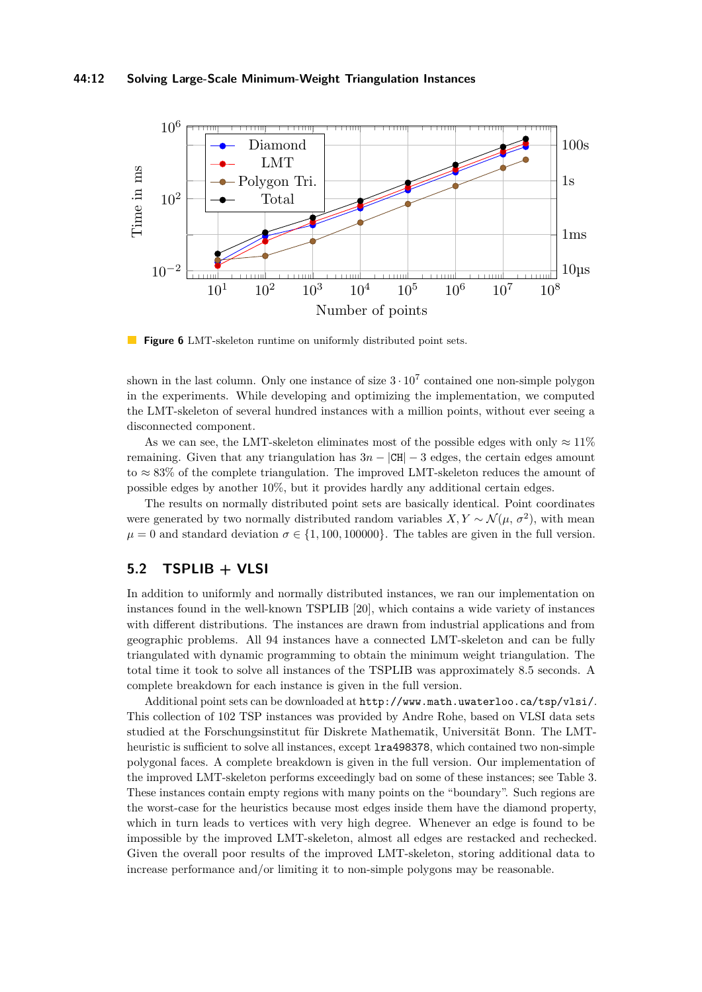#### **44:12 Solving Large-Scale Minimum-Weight Triangulation Instances**



 $\mathcal{L}_{\mathcal{A}}$ **Figure 6** LMT-skeleton runtime on uniformly distributed point sets.

shown in the last column. Only one instance of size  $3 \cdot 10^7$  contained one non-simple polygon in the experiments. While developing and optimizing the implementation, we computed the LMT-skeleton of several hundred instances with a million points, without ever seeing a disconnected component.

As we can see, the LMT-skeleton eliminates most of the possible edges with only  $\approx 11\%$ remaining. Given that any triangulation has  $3n - |CH| - 3$  edges, the certain edges amount to ≈ 83% of the complete triangulation. The improved LMT-skeleton reduces the amount of possible edges by another 10%, but it provides hardly any additional certain edges.

The results on normally distributed point sets are basically identical. Point coordinates were generated by two normally distributed random variables  $X, Y \sim \mathcal{N}(\mu, \sigma^2)$ , with mean  $\mu = 0$  and standard deviation  $\sigma \in \{1, 100, 100000\}$ . The tables are given in the full version.

# **5.2 TSPLIB + VLSI**

In addition to uniformly and normally distributed instances, we ran our implementation on instances found in the well-known TSPLIB [\[20\]](#page-13-7), which contains a wide variety of instances with different distributions. The instances are drawn from industrial applications and from geographic problems. All 94 instances have a connected LMT-skeleton and can be fully triangulated with dynamic programming to obtain the minimum weight triangulation. The total time it took to solve all instances of the TSPLIB was approximately 8.5 seconds. A complete breakdown for each instance is given in the full version.

Additional point sets can be downloaded at http://www.math.uwaterloo.ca/tsp/vlsi/. This collection of 102 TSP instances was provided by Andre Rohe, based on VLSI data sets studied at the Forschungsinstitut für Diskrete Mathematik, Universität Bonn. The LMTheuristic is sufficient to solve all instances, except lra498378, which contained two non-simple polygonal faces. A complete breakdown is given in the full version. Our implementation of the improved LMT-skeleton performs exceedingly bad on some of these instances; see Table [3.](#page-12-9) These instances contain empty regions with many points on the "boundary". Such regions are the worst-case for the heuristics because most edges inside them have the diamond property, which in turn leads to vertices with very high degree. Whenever an edge is found to be impossible by the improved LMT-skeleton, almost all edges are restacked and rechecked. Given the overall poor results of the improved LMT-skeleton, storing additional data to increase performance and/or limiting it to non-simple polygons may be reasonable.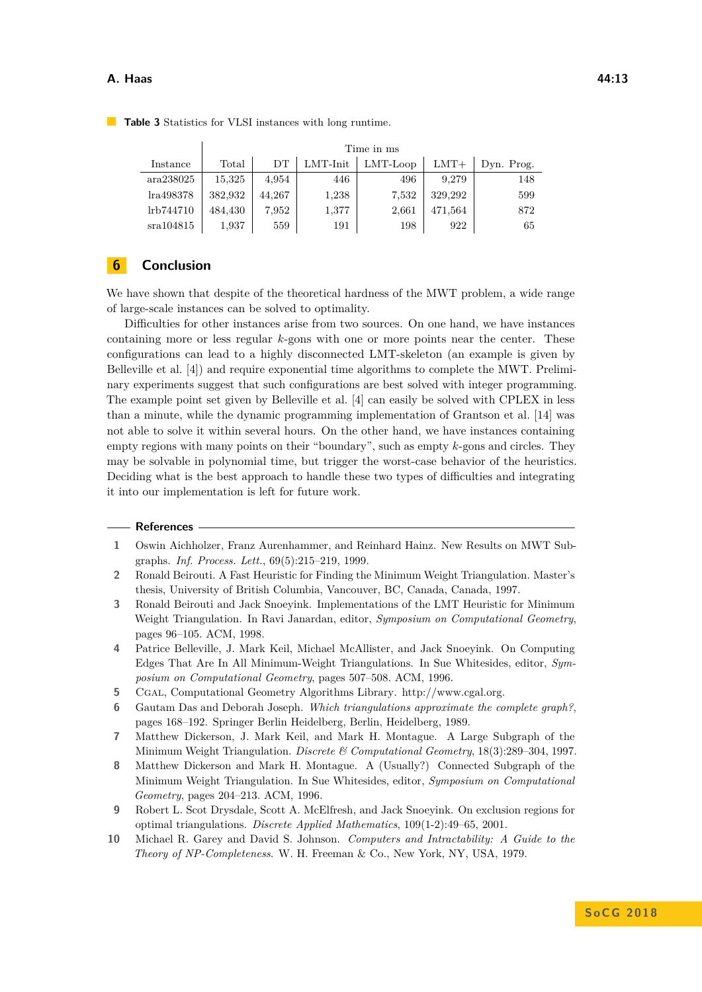Time in ms Instance Total DT LMT-Init LMT-Loop LMT+ Dyn. Prog. ara238025 | 15,325 | 4,954 | 446 | 496 | 9,279 | 148  $\text{ln}498378 \mid 382,932 \mid 44,267 \mid 1,238 \mid 7,532 \mid 329,292 \mid 599$  $\text{lrb744710}$  | 484,430 | 7,952 | 1,377 | 2,661 | 471,564 | 872  $s_{\text{r}}$ sra104815 1,937 559 191 191 198 922 65

<span id="page-12-9"></span>**Table 3** Statistics for VLSI instances with long runtime.

# **6 Conclusion**

We have shown that despite of the theoretical hardness of the MWT problem, a wide range of large-scale instances can be solved to optimality.

Difficulties for other instances arise from two sources. On one hand, we have instances containing more or less regular *k*-gons with one or more points near the center. These configurations can lead to a highly disconnected LMT-skeleton (an example is given by Belleville et al. [\[4\]](#page-12-10)) and require exponential time algorithms to complete the MWT. Preliminary experiments suggest that such configurations are best solved with integer programming. The example point set given by Belleville et al. [\[4\]](#page-12-10) can easily be solved with CPLEX in less than a minute, while the dynamic programming implementation of Grantson et al. [\[14\]](#page-13-10) was not able to solve it within several hours. On the other hand, we have instances containing empty regions with many points on their "boundary", such as empty *k*-gons and circles. They may be solvable in polynomial time, but trigger the worst-case behavior of the heuristics. Deciding what is the best approach to handle these two types of difficulties and integrating it into our implementation is left for future work.

#### **References**

- <span id="page-12-7"></span>**1** Oswin Aichholzer, Franz Aurenhammer, and Reinhard Hainz. New Results on MWT Subgraphs. *Inf. Process. Lett.*, 69(5):215–219, 1999.
- <span id="page-12-6"></span>**2** Ronald Beirouti. A Fast Heuristic for Finding the Minimum Weight Triangulation. Master's thesis, University of British Columbia, Vancouver, BC, Canada, Canada, 1997.
- <span id="page-12-5"></span>**3** Ronald Beirouti and Jack Snoeyink. Implementations of the LMT Heuristic for Minimum Weight Triangulation. In Ravi Janardan, editor, *Symposium on Computational Geometry*, pages 96–105. ACM, 1998.
- <span id="page-12-10"></span>**4** Patrice Belleville, J. Mark Keil, Michael McAllister, and Jack Snoeyink. On Computing Edges That Are In All Minimum-Weight Triangulations. In Sue Whitesides, editor, *Symposium on Computational Geometry*, pages 507–508. ACM, 1996.
- <span id="page-12-8"></span>**5** Cgal, Computational Geometry Algorithms Library. http://www.cgal.org.
- <span id="page-12-1"></span>**6** Gautam Das and Deborah Joseph. *Which triangulations approximate the complete graph?*, pages 168–192. Springer Berlin Heidelberg, Berlin, Heidelberg, 1989.
- <span id="page-12-4"></span>**7** Matthew Dickerson, J. Mark Keil, and Mark H. Montague. A Large Subgraph of the Minimum Weight Triangulation. *Discrete & Computational Geometry*, 18(3):289–304, 1997.
- <span id="page-12-3"></span>**8** Matthew Dickerson and Mark H. Montague. A (Usually?) Connected Subgraph of the Minimum Weight Triangulation. In Sue Whitesides, editor, *Symposium on Computational Geometry*, pages 204–213. ACM, 1996.
- <span id="page-12-2"></span>**9** Robert L. Scot Drysdale, Scott A. McElfresh, and Jack Snoeyink. On exclusion regions for optimal triangulations. *Discrete Applied Mathematics*, 109(1-2):49–65, 2001.
- <span id="page-12-0"></span>**10** Michael R. Garey and David S. Johnson. *Computers and Intractability: A Guide to the Theory of NP-Completeness*. W. H. Freeman & Co., New York, NY, USA, 1979.